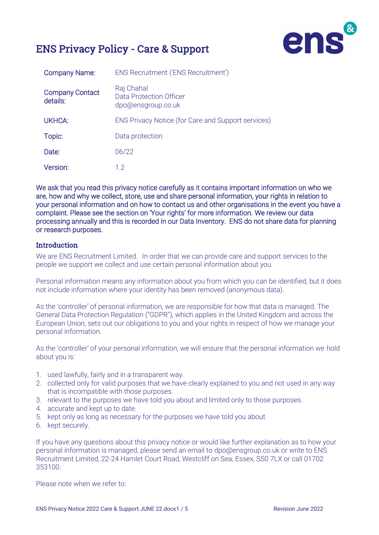



| <b>Company Name:</b>               | ENS Recruitment ('ENS Recruitment')                         |
|------------------------------------|-------------------------------------------------------------|
| <b>Company Contact</b><br>details: | Raj Chahal<br>Data Protection Officer<br>dpo@ensgroup.co.uk |
| <b>UKHCA:</b>                      | ENS Privacy Notice (for Care and Support services)          |
| Topic:                             | Data protection                                             |
| Date:                              | 06/22                                                       |
| Version:                           | 12                                                          |

We ask that you read this privacy notice carefully as it contains important information on who we are, how and why we collect, store, use and share personal information, your rights in relation to your personal information and on how to contact us and other organisations in the event you have a complaint. Please see the section on 'Your rights' for more information. We review our data processing annually and this is recorded in our Data Inventory. ENS do not share data for planning or research purposes.

#### **Introduction**

We are ENS Recruitment Limited. In order that we can provide care and support services to the people we support we collect and use certain personal information about you.

Personal information means any information about you from which you can be identified, but it does not include information where your identity has been removed (anonymous data).

As the 'controller' of personal information, we are responsible for how that data is managed. The [General Data Protection Regulation](http://eur-lex.europa.eu/legal-content/EN/TXT/PDF/?uri=CELEX:32016R0679&from=EN) ("GDPR"), which applies in the United Kingdom and across the European Union, sets out our obligations to you and your rights in respect of how we manage your personal information.

As the 'controller' of your personal information, we will ensure that the personal information we hold about you is:

- 1. used lawfully, fairly and in a transparent way.
- 2. collected only for valid purposes that we have clearly explained to you and not used in any way that is incompatible with those purposes.
- 3. relevant to the purposes we have told you about and limited only to those purposes.
- 4. accurate and kept up to date.
- 5. kept only as long as necessary for the purposes we have told you about.
- 6. kept securely.

If you have any questions about this privacy notice or would like further explanation as to how your personal information is managed, please send an email to dpo@ensgroup.co.uk or write to ENS Recruitment Limited, 22-24 Hamlet Court Road, Westcliff on Sea, Essex, SS0 7LX or call 01702 353100.

Please note when we refer to: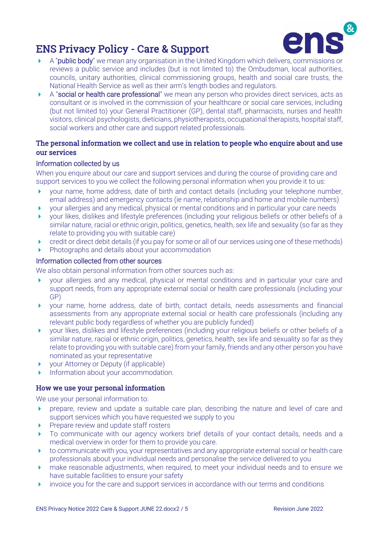

- A "**public body**" we mean any organisation in the United Kingdom which delivers, commissions or reviews a public service and includes (but is not limited to) the Ombudsman, local authorities, councils, unitary authorities, clinical commissioning groups, health and social care trusts, the National Health Service as well as their arm's length bodies and regulators.
- A "social or health care professional" we mean any person who provides direct services, acts as consultant or is involved in the commission of your healthcare or social care services, including (but not limited to) your General Practitioner (GP), dental staff, pharmacists, nurses and health visitors, clinical psychologists, dieticians, physiotherapists, occupational therapists, hospital staff, social workers and other care and support related professionals.

## The personal information we collect and use in relation to people who enquire about and use our services

#### Information collected by us

When you enquire about our care and support services and during the course of providing care and support services to you we collect the following personal information when you provide it to us:

- your name, home address, date of birth and contact details (including your telephone number, email address) and emergency contacts (ie name, relationship and home and mobile numbers)
- your allergies and any medical, physical or mental conditions and in particular your care needs
- your likes, dislikes and lifestyle preferences (including your religious beliefs or other beliefs of a similar nature, racial or ethnic origin, politics, genetics, health, sex life and sexuality (so far as they relate to providing you with suitable care)
- credit or direct debit details (if you pay for some or all of our services using one of these methods)
- Photographs and details about your accommodation

#### Information collected from other sources

We also obtain personal information from other sources such as:

- your allergies and any medical, physical or mental conditions and in particular your care and support needs, from any appropriate external social or health care professionals (including your GP)
- your name, home address, date of birth, contact details, needs assessments and financial assessments from any appropriate external social or health care professionals (including any relevant public body regardless of whether you are publicly funded)
- your likes, dislikes and lifestyle preferences (including your religious beliefs or other beliefs of a similar nature, racial or ethnic origin, politics, genetics, health, sex life and sexuality so far as they relate to providing you with suitable care) from your family, friends and any other person you have nominated as your representative
- ▶ your Attorney or Deputy (if applicable)
- Information about your accommodation.

#### How we use your personal information

We use your personal information to:

- **Perform** prepare, review and update a suitable care plan, describing the nature and level of care and support services which you have requested we supply to you
- Prepare review and update staff rosters
- To communicate with our agency workers brief details of your contact details, needs and a medical overview in order for them to provide you care.
- $\triangleright$  to communicate with you, your representatives and any appropriate external social or health care professionals about your individual needs and personalise the service delivered to you
- make reasonable adjustments, when required, to meet your individual needs and to ensure we have suitable facilities to ensure your safety
- invoice you for the care and support services in accordance with our terms and conditions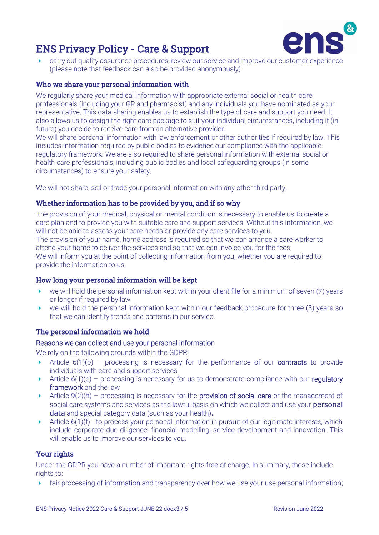

 carry out quality assurance procedures, review our service and improve our customer experience (please note that feedback can also be provided anonymously)

## Who we share your personal information with

We regularly share your medical information with appropriate external social or health care professionals (including your GP and pharmacist) and any individuals you have nominated as your representative. This data sharing enables us to establish the type of care and support you need. It also allows us to design the right care package to suit your individual circumstances, including if (in future) you decide to receive care from an alternative provider.

We will share personal information with law enforcement or other authorities if required by law. This includes information required by public bodies to evidence our compliance with the applicable regulatory framework. We are also required to share personal information with external social or health care professionals, including public bodies and local safeguarding groups (in some circumstances) to ensure your safety.

We will not share, sell or trade your personal information with any other third party.

## Whether information has to be provided by you, and if so why

The provision of your medical, physical or mental condition is necessary to enable us to create a care plan and to provide you with suitable care and support services. Without this information, we will not be able to assess your care needs or provide any care services to you.

The provision of your name, home address is required so that we can arrange a care worker to attend your home to deliver the services and so that we can invoice you for the fees. We will inform you at the point of collecting information from you, whether you are required to provide the information to us.

## How long your personal information will be kept

- $\triangleright$  we will hold the personal information kept within your client file for a minimum of seven (7) years or longer if required by law.
- $\triangleright$  we will hold the personal information kept within our feedback procedure for three (3) years so that we can identify trends and patterns in our service.

## The personal information we hold

#### Reasons we can collect and use your personal information

We rely on the following grounds within the GDPR:

- Article  $6(1)(b)$  processing is necessary for the performance of our **contracts** to provide individuals with care and support services
- Article  $6(1)(c)$  processing is necessary for us to demonstrate compliance with our regulatory framework and the law
- Article  $9(2)(h)$  processing is necessary for the **provision of social care** or the management of social care systems and services as the lawful basis on which we collect and use your **personal** data and special category data (such as your health).
- Article 6(1)(f) to process your personal information in pursuit of our legitimate interests, which include corporate due diligence, financial modelling, service development and innovation. This will enable us to improve our services to you.

## Your rights

Under the [GDPR](http://eur-lex.europa.eu/legal-content/EN/TXT/PDF/?uri=CELEX:32016R0679&from=EN) you have a number of important rights free of charge. In summary, those include rights to:

fair processing of information and transparency over how we use your use personal information;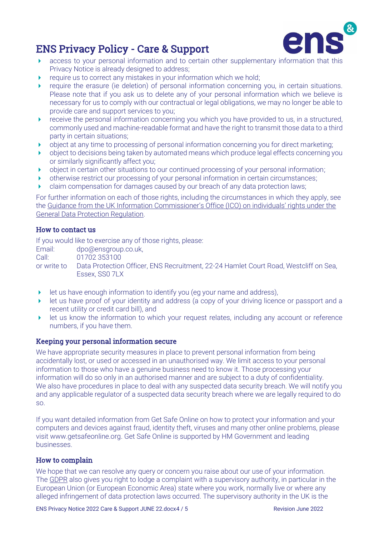

- **access to your personal information and to certain other supplementary information that this** Privacy Notice is already designed to address;
- require us to correct any mistakes in your information which we hold;
- require the erasure (ie deletion) of personal information concerning you, in certain situations. Please note that if you ask us to delete any of your personal information which we believe is necessary for us to comply with our contractual or legal obligations, we may no longer be able to provide care and support services to you;
- $\triangleright$  receive the personal information concerning you which you have provided to us, in a structured, commonly used and machine-readable format and have the right to transmit those data to a third party in certain situations;
- object at any time to processing of personal information concerning you for direct marketing;
- object to decisions being taken by automated means which produce legal effects concerning you or similarly significantly affect you;
- ▶ object in certain other situations to our continued processing of your personal information;
- otherwise restrict our processing of your personal information in certain circumstances;
- claim compensation for damages caused by our breach of any data protection laws;

For further information on each of those rights, including the circumstances in which they apply, see the [Guidance from the UK Information Commissioner's Office \(ICO\) on individuals' rights under the](http://ico.org.uk/for-organisations/guide-to-the-general-data-protection-regulation-gdpr/individual-rights/)  [General Data Protection Regulation.](http://ico.org.uk/for-organisations/guide-to-the-general-data-protection-regulation-gdpr/individual-rights/)

## How to contact us

If you would like to exercise any of those rights, please:

Email: dpo@ensgroup.co.uk, Call: 01702 353100

or write to Data Protection Officer, ENS Recruitment, 22-24 Hamlet Court Road, Westcliff on Sea, Essex, SS0 7LX

- $\blacktriangleright$  let us have enough information to identify you (eg your name and address),
- let us have proof of your identity and address (a copy of your driving licence or passport and a recent utility or credit card bill), and
- I let us know the information to which your request relates, including any account or reference numbers, if you have them.

## Keeping your personal information secure

We have appropriate security measures in place to prevent personal information from being accidentally lost, or used or accessed in an unauthorised way. We limit access to your personal information to those who have a genuine business need to know it. Those processing your information will do so only in an authorised manner and are subject to a duty of confidentiality. We also have procedures in place to deal with any suspected data security breach. We will notify you and any applicable regulator of a suspected data security breach where we are legally required to do so.

If you want detailed information from Get Safe Online on how to protect your information and your computers and devices against fraud, identity theft, viruses and many other online problems, please visi[t www.getsafeonline.org.](http://www.getsafeonline.org/) Get Safe Online is supported by HM Government and leading businesses.

#### How to complain

We hope that we can resolve any query or concern you raise about our use of your information. Th[e GDPR](http://eur-lex.europa.eu/legal-content/EN/TXT/PDF/?uri=CELEX:32016R0679&from=EN) also gives you right to lodge a complaint with a supervisory authority, in particular in the European Union (or European Economic Area) state where you work, normally live or where any alleged infringement of data protection laws occurred. The supervisory authority in the UK is the